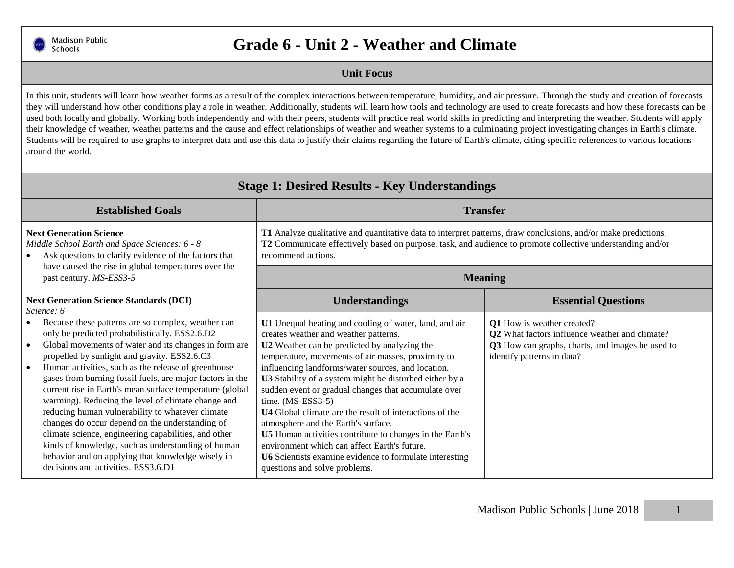

## **Grade 6 - Unit 2 - Weather and Climate**

## **Unit Focus**

In this unit, students will learn how weather forms as a result of the complex interactions between temperature, humidity, and air pressure. Through the study and creation of forecasts they will understand how other conditions play a role in weather. Additionally, students will learn how tools and technology are used to create forecasts and how these forecasts can be used both locally and globally. Working both independently and with their peers, students will practice real world skills in predicting and interpreting the weather. Students will apply their knowledge of weather, weather patterns and the cause and effect relationships of weather and weather systems to a culminating project investigating changes in Earth's climate. Students will be required to use graphs to interpret data and use this data to justify their claims regarding the future of Earth's climate, citing specific references to various locations around the world.

| <b>Stage 1: Desired Results - Key Understandings</b>                                                                                                                                                                                                                                                                                                                                                                                                                                                                                                                                                                                                                                                                                                                 |                                                                                                                                                                                                                                                                                                                                                                                                                                                                                                                                                                                                                                                                                                                        |                                                                                                                                                                |  |
|----------------------------------------------------------------------------------------------------------------------------------------------------------------------------------------------------------------------------------------------------------------------------------------------------------------------------------------------------------------------------------------------------------------------------------------------------------------------------------------------------------------------------------------------------------------------------------------------------------------------------------------------------------------------------------------------------------------------------------------------------------------------|------------------------------------------------------------------------------------------------------------------------------------------------------------------------------------------------------------------------------------------------------------------------------------------------------------------------------------------------------------------------------------------------------------------------------------------------------------------------------------------------------------------------------------------------------------------------------------------------------------------------------------------------------------------------------------------------------------------------|----------------------------------------------------------------------------------------------------------------------------------------------------------------|--|
| <b>Established Goals</b>                                                                                                                                                                                                                                                                                                                                                                                                                                                                                                                                                                                                                                                                                                                                             | <b>Transfer</b>                                                                                                                                                                                                                                                                                                                                                                                                                                                                                                                                                                                                                                                                                                        |                                                                                                                                                                |  |
| <b>Next Generation Science</b><br>Middle School Earth and Space Sciences: 6 - 8<br>Ask questions to clarify evidence of the factors that<br>have caused the rise in global temperatures over the<br>past century. MS-ESS3-5                                                                                                                                                                                                                                                                                                                                                                                                                                                                                                                                          | T1 Analyze qualitative and quantitative data to interpret patterns, draw conclusions, and/or make predictions.<br>T2 Communicate effectively based on purpose, task, and audience to promote collective understanding and/or<br>recommend actions.                                                                                                                                                                                                                                                                                                                                                                                                                                                                     |                                                                                                                                                                |  |
|                                                                                                                                                                                                                                                                                                                                                                                                                                                                                                                                                                                                                                                                                                                                                                      | <b>Meaning</b>                                                                                                                                                                                                                                                                                                                                                                                                                                                                                                                                                                                                                                                                                                         |                                                                                                                                                                |  |
| <b>Next Generation Science Standards (DCI)</b><br>Science: 6                                                                                                                                                                                                                                                                                                                                                                                                                                                                                                                                                                                                                                                                                                         | <b>Understandings</b>                                                                                                                                                                                                                                                                                                                                                                                                                                                                                                                                                                                                                                                                                                  | <b>Essential Questions</b>                                                                                                                                     |  |
| Because these patterns are so complex, weather can<br>only be predicted probabilistically. ESS2.6.D2<br>Global movements of water and its changes in form are<br>propelled by sunlight and gravity. ESS2.6.C3<br>Human activities, such as the release of greenhouse<br>gases from burning fossil fuels, are major factors in the<br>current rise in Earth's mean surface temperature (global<br>warming). Reducing the level of climate change and<br>reducing human vulnerability to whatever climate<br>changes do occur depend on the understanding of<br>climate science, engineering capabilities, and other<br>kinds of knowledge, such as understanding of human<br>behavior and on applying that knowledge wisely in<br>decisions and activities. ESS3.6.D1 | U1 Unequal heating and cooling of water, land, and air<br>creates weather and weather patterns.<br>U2 Weather can be predicted by analyzing the<br>temperature, movements of air masses, proximity to<br>influencing landforms/water sources, and location.<br>U3 Stability of a system might be disturbed either by a<br>sudden event or gradual changes that accumulate over<br>time. $(MS-ESS3-5)$<br><b>U4</b> Global climate are the result of interactions of the<br>atmosphere and the Earth's surface.<br>U5 Human activities contribute to changes in the Earth's<br>environment which can affect Earth's future.<br>U6 Scientists examine evidence to formulate interesting<br>questions and solve problems. | Q1 How is weather created?<br>Q2 What factors influence weather and climate?<br>Q3 How can graphs, charts, and images be used to<br>identify patterns in data? |  |